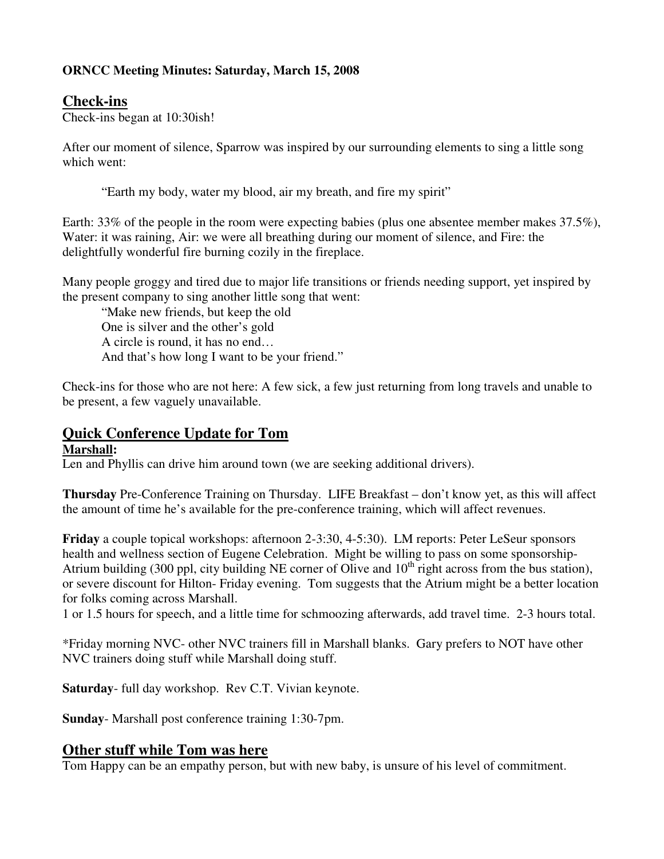### **ORNCC Meeting Minutes: Saturday, March 15, 2008**

## **Check-ins**

Check-ins began at 10:30ish!

After our moment of silence, Sparrow was inspired by our surrounding elements to sing a little song which went:

"Earth my body, water my blood, air my breath, and fire my spirit"

Earth: 33% of the people in the room were expecting babies (plus one absentee member makes 37.5%), Water: it was raining, Air: we were all breathing during our moment of silence, and Fire: the delightfully wonderful fire burning cozily in the fireplace.

Many people groggy and tired due to major life transitions or friends needing support, yet inspired by the present company to sing another little song that went:

 "Make new friends, but keep the old One is silver and the other's gold A circle is round, it has no end… And that's how long I want to be your friend."

Check-ins for those who are not here: A few sick, a few just returning from long travels and unable to be present, a few vaguely unavailable.

# **Quick Conference Update for Tom**

#### **Marshall:**

Len and Phyllis can drive him around town (we are seeking additional drivers).

**Thursday** Pre-Conference Training on Thursday. LIFE Breakfast – don't know yet, as this will affect the amount of time he's available for the pre-conference training, which will affect revenues.

**Friday** a couple topical workshops: afternoon 2-3:30, 4-5:30). LM reports: Peter LeSeur sponsors health and wellness section of Eugene Celebration. Might be willing to pass on some sponsorship-Atrium building (300 ppl, city building NE corner of Olive and  $10<sup>th</sup>$  right across from the bus station), or severe discount for Hilton- Friday evening. Tom suggests that the Atrium might be a better location for folks coming across Marshall.

1 or 1.5 hours for speech, and a little time for schmoozing afterwards, add travel time. 2-3 hours total.

\*Friday morning NVC- other NVC trainers fill in Marshall blanks. Gary prefers to NOT have other NVC trainers doing stuff while Marshall doing stuff.

**Saturday**- full day workshop. Rev C.T. Vivian keynote.

**Sunday**- Marshall post conference training 1:30-7pm.

#### **Other stuff while Tom was here**

Tom Happy can be an empathy person, but with new baby, is unsure of his level of commitment.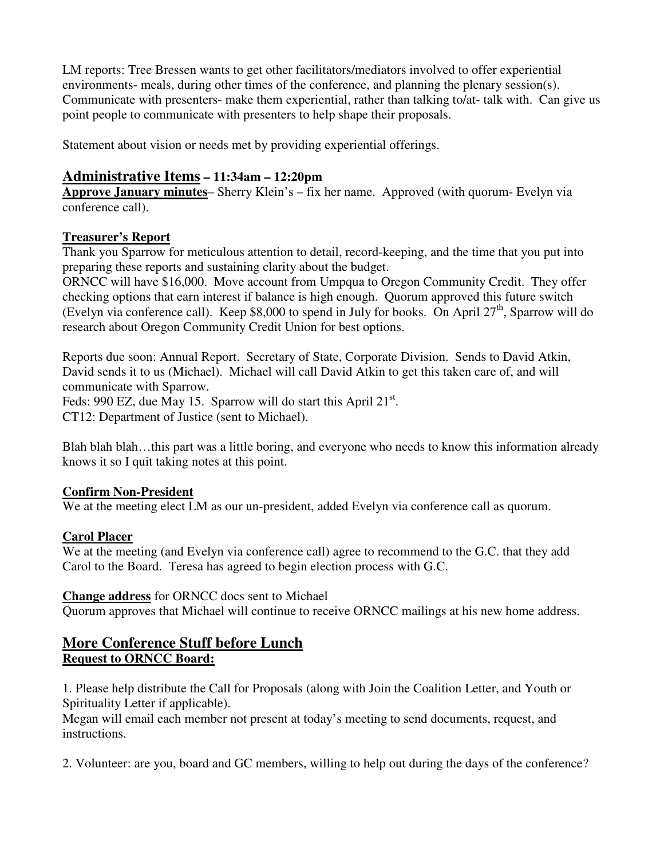LM reports: Tree Bressen wants to get other facilitators/mediators involved to offer experiential environments- meals, during other times of the conference, and planning the plenary session(s). Communicate with presenters- make them experiential, rather than talking to/at- talk with. Can give us point people to communicate with presenters to help shape their proposals.

Statement about vision or needs met by providing experiential offerings.

### **Administrative Items – 11:34am – 12:20pm**

**Approve January minutes**– Sherry Klein's – fix her name. Approved (with quorum- Evelyn via conference call).

### **Treasurer's Report**

Thank you Sparrow for meticulous attention to detail, record-keeping, and the time that you put into preparing these reports and sustaining clarity about the budget.

ORNCC will have \$16,000. Move account from Umpqua to Oregon Community Credit. They offer checking options that earn interest if balance is high enough. Quorum approved this future switch (Evelyn via conference call). Keep \$8,000 to spend in July for books. On April 27<sup>th</sup>, Sparrow will do research about Oregon Community Credit Union for best options.

Reports due soon: Annual Report. Secretary of State, Corporate Division. Sends to David Atkin, David sends it to us (Michael). Michael will call David Atkin to get this taken care of, and will communicate with Sparrow. Feds: 990 EZ, due May 15. Sparrow will do start this April  $21^{st}$ .

CT12: Department of Justice (sent to Michael).

Blah blah blah…this part was a little boring, and everyone who needs to know this information already knows it so I quit taking notes at this point.

### **Confirm Non-President**

We at the meeting elect LM as our un-president, added Evelyn via conference call as quorum.

### **Carol Placer**

We at the meeting (and Evelyn via conference call) agree to recommend to the G.C. that they add Carol to the Board. Teresa has agreed to begin election process with G.C.

### **Change address** for ORNCC docs sent to Michael

Quorum approves that Michael will continue to receive ORNCC mailings at his new home address.

### **More Conference Stuff before Lunch Request to ORNCC Board:**

1. Please help distribute the Call for Proposals (along with Join the Coalition Letter, and Youth or Spirituality Letter if applicable).

Megan will email each member not present at today's meeting to send documents, request, and instructions.

2. Volunteer: are you, board and GC members, willing to help out during the days of the conference?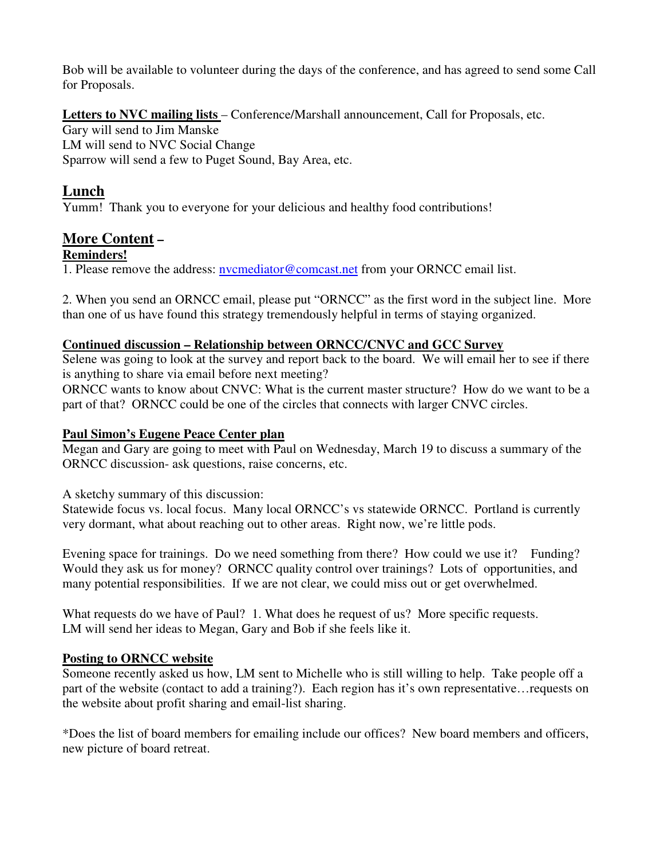Bob will be available to volunteer during the days of the conference, and has agreed to send some Call for Proposals.

Letters to NVC mailing lists – Conference/Marshall announcement, Call for Proposals, etc. Gary will send to Jim Manske LM will send to NVC Social Change Sparrow will send a few to Puget Sound, Bay Area, etc.

# **Lunch**

Yumm! Thank you to everyone for your delicious and healthy food contributions!

# **More Content –**

#### **Reminders!**

1. Please remove the address: nvcmediator@comcast.net from your ORNCC email list.

2. When you send an ORNCC email, please put "ORNCC" as the first word in the subject line. More than one of us have found this strategy tremendously helpful in terms of staying organized.

#### **Continued discussion – Relationship between ORNCC/CNVC and GCC Survey**

Selene was going to look at the survey and report back to the board. We will email her to see if there is anything to share via email before next meeting?

ORNCC wants to know about CNVC: What is the current master structure? How do we want to be a part of that? ORNCC could be one of the circles that connects with larger CNVC circles.

### **Paul Simon's Eugene Peace Center plan**

Megan and Gary are going to meet with Paul on Wednesday, March 19 to discuss a summary of the ORNCC discussion- ask questions, raise concerns, etc.

A sketchy summary of this discussion:

Statewide focus vs. local focus. Many local ORNCC's vs statewide ORNCC. Portland is currently very dormant, what about reaching out to other areas. Right now, we're little pods.

Evening space for trainings. Do we need something from there? How could we use it? Funding? Would they ask us for money? ORNCC quality control over trainings? Lots of opportunities, and many potential responsibilities. If we are not clear, we could miss out or get overwhelmed.

What requests do we have of Paul? 1. What does he request of us? More specific requests. LM will send her ideas to Megan, Gary and Bob if she feels like it.

### **Posting to ORNCC website**

Someone recently asked us how, LM sent to Michelle who is still willing to help. Take people off a part of the website (contact to add a training?). Each region has it's own representative…requests on the website about profit sharing and email-list sharing.

\*Does the list of board members for emailing include our offices? New board members and officers, new picture of board retreat.